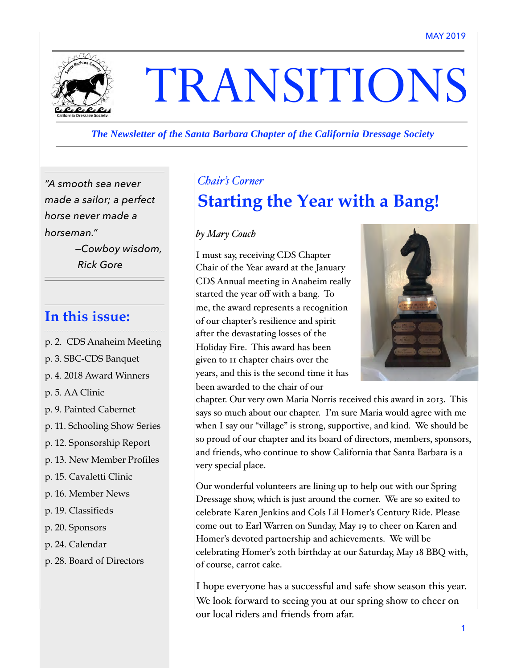

# TRANSITIONS

#### *The Newsletter of the Santa Barbara Chapter of the California Dressage Society*

*"A smooth sea never made a sailor; a perfect horse never made a horseman."*

> *—Cowboy wisdom, Rick Gore*

## **In this issue:**

- p. 2. CDS Anaheim Meeting
- p. 3. SBC-CDS Banquet
- p. 4. 2018 Award Winners
- p. 5. AA Clinic
- p. 9. Painted Cabernet
- p. 11. Schooling Show Series
- p. 12. Sponsorship Report
- p. 13. New Member Profiles
- p. 15. Cavaletti Clinic
- p. 16. Member News
- p. 19. Classifieds
- p. 20. Sponsors
- p. 24. Calendar
- p. 28. Board of Directors

#### *Chair's Corner*

# **Starting the Year with a Bang!**

#### *by Mary Couch*

I must say, receiving CDS Chapter Chair of the Year award at the January CDS Annual meeting in Anaheim really started the year off with a bang. To me, the award represents a recognition of our chapter's resilience and spirit after the devastating losses of the Holiday Fire. This award has been given to 11 chapter chairs over the years, and this is the second time it has been awarded to the chair of our



chapter. Our very own Maria Norris received this award in 2013. This says so much about our chapter. I'm sure Maria would agree with me when I say our "village" is strong, supportive, and kind. We should be so proud of our chapter and its board of directors, members, sponsors, and friends, who continue to show California that Santa Barbara is a very special place.

Our wonderful volunteers are lining up to help out with our Spring Dressage show, which is just around the corner. We are so exited to celebrate Karen Jenkins and Cols Lil Homer's Century Ride. Please come out to Earl Warren on Sunday, May 19 to cheer on Karen and Homer's devoted partnership and achievements. We will be celebrating Homer's 20th birthday at our Saturday, May 18 BBQ with, of course, carrot cake.

I hope everyone has a successful and safe show season this year. We look forward to seeing you at our spring show to cheer on our local riders and friends from afar.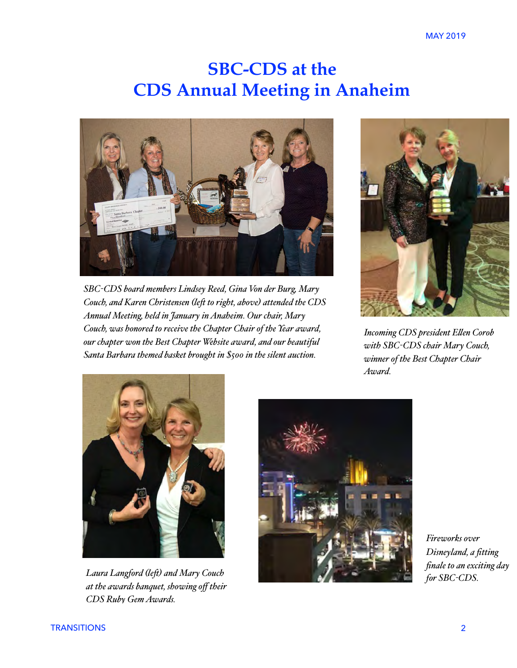# **SBC-CDS at the CDS Annual Meeting in Anaheim**



*SBC-CDS board members Lindsey Reed, Gina Von der Burg, Mary Couch, and Karen Christensen (lef to right, above) attended the CDS Annual Meeting, held in January in Anaheim. Our chair, Mary Couch, was honored to receive the Chapter Chair of the Year award, our chapter won the Best Chapter Website award, and our beautiful Santa Barbara themed basket brought in \$500 in the silent auction.*



*Incoming CDS president Elen Corob with SBC-CDS chair Mary Couch, winner of the Best Chapter Chair Award.*



*at the awards banquet, showing off their CDS Ruby Gem Awards.*



*Fireworks over Disneyland, a fitting finale to an exciting day*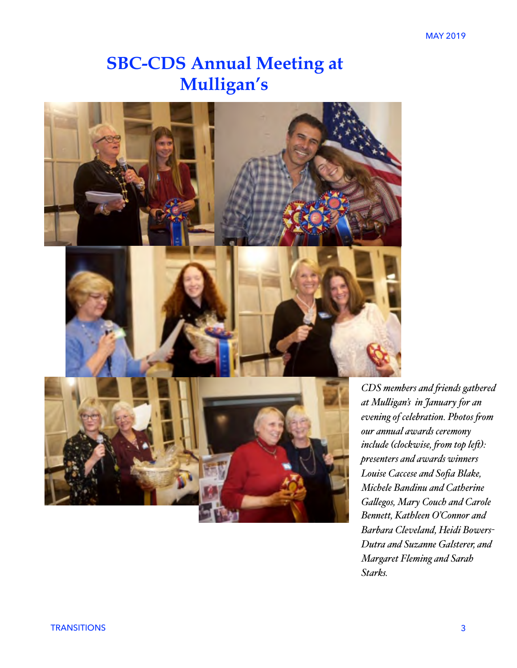# **SBC-CDS Annual Meeting at Mulligan's**



*CDS members and fiends gathered at Muligan's in January for an evening of celebration. Photos fom our annual awards ceremony include (clockwise, fom top lef): presenters and awards winners Louise Caccese and Sofia Blake, Michele Bandinu and Catherine Galegos, Mary Couch and Carole Bennett, Kathleen O'Connor and Barbara Cleveland, Heidi Bowers-Dutra and Suzanne Galsterer, and Margaret Fleming and Sarah Starks.*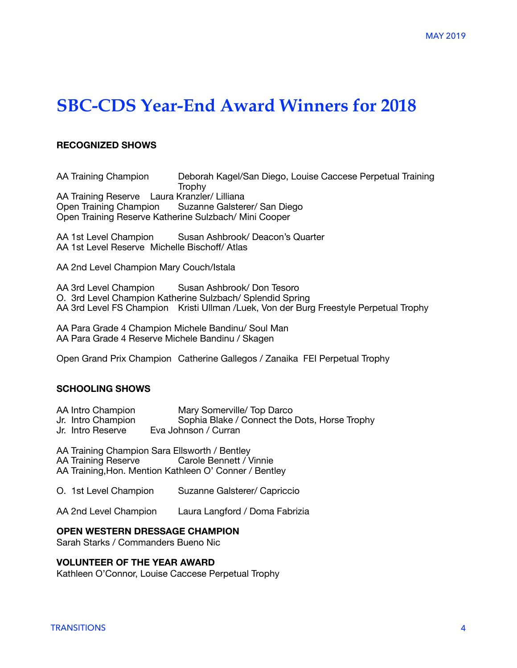# **SBC-CDS Year-End Award Winners for 2018**

#### **RECOGNIZED SHOWS**

AA Training Champion Deborah Kagel/San Diego, Louise Caccese Perpetual Training **Trophy** AA Training Reserve Laura Kranzler/ Lilliana Open Training Champion Suzanne Galsterer/ San Diego Open Training Reserve Katherine Sulzbach/ Mini Cooper

AA 1st Level Champion Susan Ashbrook/ Deacon's Quarter AA 1st Level Reserve Michelle Bischoff/ Atlas

AA 2nd Level Champion Mary Couch/Istala

AA 3rd Level Champion Susan Ashbrook/ Don Tesoro O. 3rd Level Champion Katherine Sulzbach/ Splendid Spring AA 3rd Level FS Champion Kristi Ullman /Luek, Von der Burg Freestyle Perpetual Trophy

AA Para Grade 4 Champion Michele Bandinu/ Soul Man AA Para Grade 4 Reserve Michele Bandinu / Skagen

Open Grand Prix Champion Catherine Gallegos / Zanaika FEI Perpetual Trophy

#### **SCHOOLING SHOWS**

| AA Intro Champion  | Mary Somerville/Top Darco                     |
|--------------------|-----------------------------------------------|
| Jr. Intro Champion | Sophia Blake / Connect the Dots, Horse Trophy |
| Jr. Intro Reserve  | Eva Johnson / Curran                          |

AA Training Champion Sara Ellsworth / Bentley<br>AA Training Reserve Carole Bennett / Vinnie AA Training Reserve AA Training,Hon. Mention Kathleen O' Conner / Bentley

O. 1st Level Champion Suzanne Galsterer/ Capriccio

AA 2nd Level Champion Laura Langford / Doma Fabrizia

#### **OPEN WESTERN DRESSAGE CHAMPION**

Sarah Starks / Commanders Bueno Nic

#### **VOLUNTEER OF THE YEAR AWARD**

Kathleen O'Connor, Louise Caccese Perpetual Trophy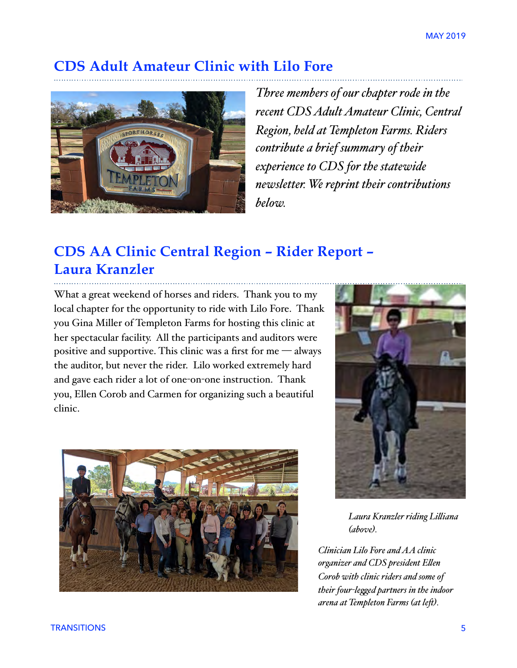## **CDS Adult Amateur Clinic with Lilo Fore**



*Three members of our chapter rode in the recent CDS Adult Amateur Clinic, Central Region, held at Templeton Farms. Riders contribute a brief summary of their experience to CDS for the statewide newsletter. We reprint their contributions below.*

#### **CDS AA Clinic Central Region – Rider Report – Laura Kranzler**

What a great weekend of horses and riders. Thank you to my local chapter for the opportunity to ride with Lilo Fore. Thank you Gina Miller of Templeton Farms for hosting this clinic at her spectacular facility. All the participants and auditors were positive and supportive. This clinic was a first for me — always the auditor, but never the rider. Lilo worked extremely hard and gave each rider a lot of one-on-one instruction. Thank you, Ellen Corob and Carmen for organizing such a beautiful clinic.





*Laura Kranzler riding Liliana (above).* 

*Clinician Lilo Fore and AA clinic organizer and CDS president Elen Corob with clinic riders and some of their four-leged partners in the indoor arena at Templeton Farms (at lef).*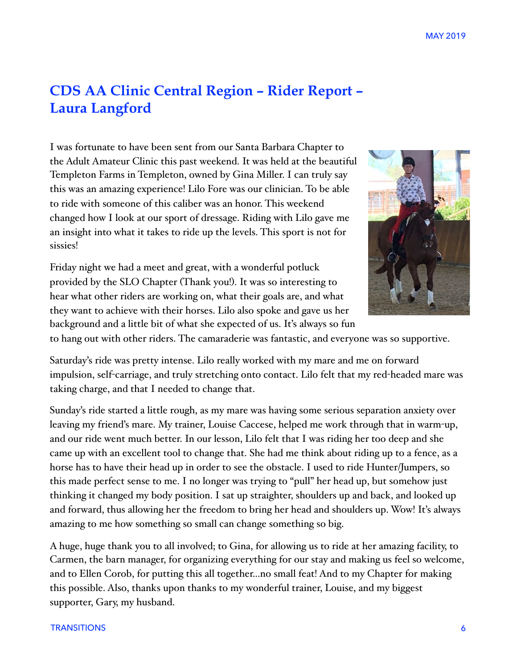## **CDS AA Clinic Central Region – Rider Report – Laura Langford**

I was fortunate to have been sent from our Santa Barbara Chapter to the Adult Amateur Clinic this past weekend. It was held at the beautiful Templeton Farms in Templeton, owned by Gina Miller. I can truly say this was an amazing experience! Lilo Fore was our clinician. To be able to ride with someone of this caliber was an honor. This weekend changed how I look at our sport of dressage. Riding with Lilo gave me an insight into what it takes to ride up the levels. This sport is not for sissies!



Friday night we had a meet and great, with a wonderful potluck provided by the SLO Chapter (Thank you!). It was so interesting to hear what other riders are working on, what their goals are, and what they want to achieve with their horses. Lilo also spoke and gave us her background and a little bit of what she expected of us. It's always so fun

to hang out with other riders. The camaraderie was fantastic, and everyone was so supportive.

Saturday's ride was pretty intense. Lilo really worked with my mare and me on forward impulsion, self-carriage, and truly stretching onto contact. Lilo felt that my red-headed mare was taking charge, and that I needed to change that.

Sunday's ride started a little rough, as my mare was having some serious separation anxiety over leaving my friend's mare. My trainer, Louise Caccese, helped me work through that in warm-up, and our ride went much better. In our lesson, Lilo felt that I was riding her too deep and she came up with an excellent tool to change that. She had me think about riding up to a fence, as a horse has to have their head up in order to see the obstacle. I used to ride Hunter/Jumpers, so this made perfect sense to me. I no longer was trying to "pull" her head up, but somehow just thinking it changed my body position. I sat up straighter, shoulders up and back, and looked up and forward, thus allowing her the freedom to bring her head and shoulders up. Wow! It's always amazing to me how something so small can change something so big.

A huge, huge thank you to all involved; to Gina, for allowing us to ride at her amazing facility, to Carmen, the barn manager, for organizing everything for our stay and making us feel so welcome, and to Ellen Corob, for putting this all together...no small feat! And to my Chapter for making this possible. Also, thanks upon thanks to my wonderful trainer, Louise, and my biggest supporter, Gary, my husband.

#### TRANSITIONS 6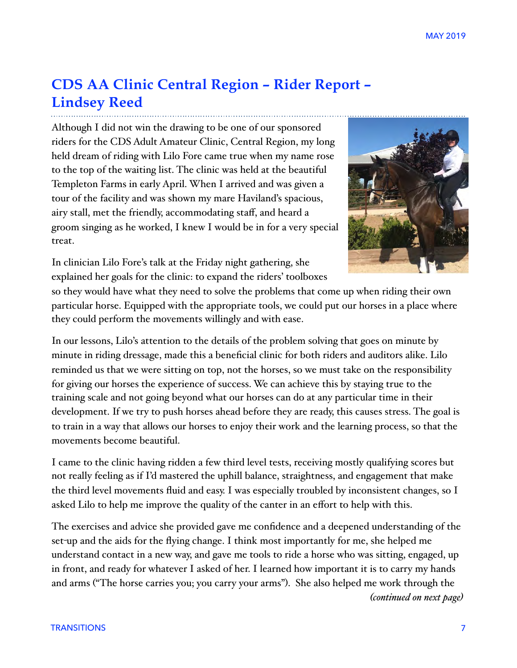## **CDS AA Clinic Central Region – Rider Report – Lindsey Reed**

Although I did not win the drawing to be one of our sponsored riders for the CDS Adult Amateur Clinic, Central Region, my long held dream of riding with Lilo Fore came true when my name rose to the top of the waiting list. The clinic was held at the beautiful Templeton Farms in early April. When I arrived and was given a tour of the facility and was shown my mare Haviland's spacious, airy stall, met the friendly, accommodating staff, and heard a groom singing as he worked, I knew I would be in for a very special treat.



In clinician Lilo Fore's talk at the Friday night gathering, she explained her goals for the clinic: to expand the riders' toolboxes

so they would have what they need to solve the problems that come up when riding their own particular horse. Equipped with the appropriate tools, we could put our horses in a place where they could perform the movements willingly and with ease.

In our lessons, Lilo's attention to the details of the problem solving that goes on minute by minute in riding dressage, made this a beneficial clinic for both riders and auditors alike. Lilo reminded us that we were sitting on top, not the horses, so we must take on the responsibility for giving our horses the experience of success. We can achieve this by staying true to the training scale and not going beyond what our horses can do at any particular time in their development. If we try to push horses ahead before they are ready, this causes stress. The goal is to train in a way that allows our horses to enjoy their work and the learning process, so that the movements become beautiful.

I came to the clinic having ridden a few third level tests, receiving mostly qualifying scores but not really feeling as if I'd mastered the uphill balance, straightness, and engagement that make the third level movements fluid and easy. I was especially troubled by inconsistent changes, so I asked Lilo to help me improve the quality of the canter in an effort to help with this.

The exercises and advice she provided gave me confidence and a deepened understanding of the set-up and the aids for the flying change. I think most importantly for me, she helped me understand contact in a new way, and gave me tools to ride a horse who was sitting, engaged, up in front, and ready for whatever I asked of her. I learned how important it is to carry my hands and arms ("The horse carries you; you carry your arms"). She also helped me work through the  *(continued on next page)*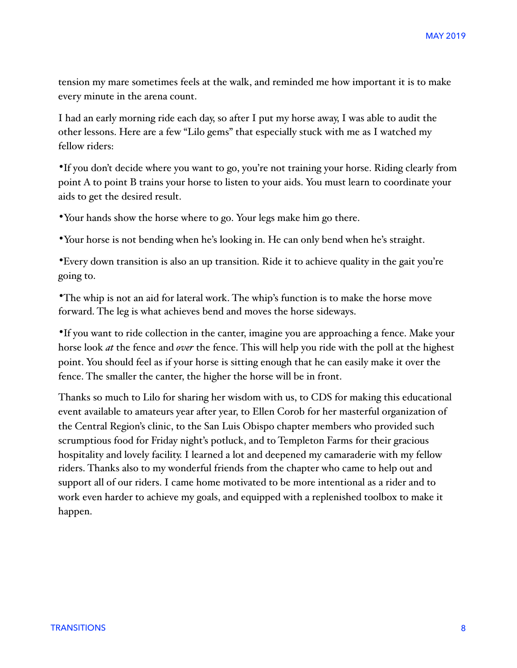tension my mare sometimes feels at the walk, and reminded me how important it is to make every minute in the arena count.

I had an early morning ride each day, so after I put my horse away, I was able to audit the other lessons. Here are a few "Lilo gems" that especially stuck with me as I watched my fellow riders:

•If you don't decide where you want to go, you're not training your horse. Riding clearly from point A to point B trains your horse to listen to your aids. You must learn to coordinate your aids to get the desired result.

•Your hands show the horse where to go. Your legs make him go there.

•Your horse is not bending when he's looking in. He can only bend when he's straight.

•Every down transition is also an up transition. Ride it to achieve quality in the gait you're going to.

•The whip is not an aid for lateral work. The whip's function is to make the horse move forward. The leg is what achieves bend and moves the horse sideways.

•If you want to ride collection in the canter, imagine you are approaching a fence. Make your horse look *at* the fence and *over* the fence. This will help you ride with the poll at the highest point. You should feel as if your horse is sitting enough that he can easily make it over the fence. The smaller the canter, the higher the horse will be in front.

Thanks so much to Lilo for sharing her wisdom with us, to CDS for making this educational event available to amateurs year after year, to Ellen Corob for her masterful organization of the Central Region's clinic, to the San Luis Obispo chapter members who provided such scrumptious food for Friday night's potluck, and to Templeton Farms for their gracious hospitality and lovely facility. I learned a lot and deepened my camaraderie with my fellow riders. Thanks also to my wonderful friends from the chapter who came to help out and support all of our riders. I came home motivated to be more intentional as a rider and to work even harder to achieve my goals, and equipped with a replenished toolbox to make it happen.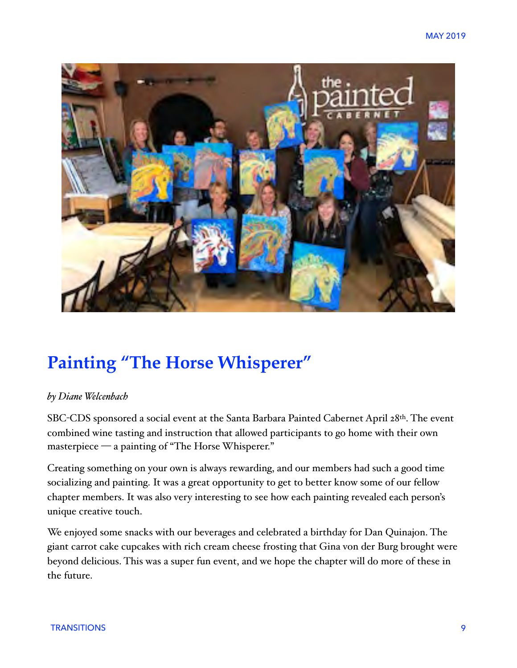

# **Painting "The Horse Whisperer"**

#### *by Diane Welcenbach*

SBC-CDS sponsored a social event at the Santa Barbara Painted Cabernet April 28th. The event combined wine tasting and instruction that allowed participants to go home with their own masterpiece — a painting of "The Horse Whisperer."

Creating something on your own is always rewarding, and our members had such a good time socializing and painting. It was a great opportunity to get to better know some of our fellow chapter members. It was also very interesting to see how each painting revealed each person's unique creative touch.

We enjoyed some snacks with our beverages and celebrated a birthday for Dan Quinajon. The giant carrot cake cupcakes with rich cream cheese frosting that Gina von der Burg brought were beyond delicious. This was a super fun event, and we hope the chapter will do more of these in the future.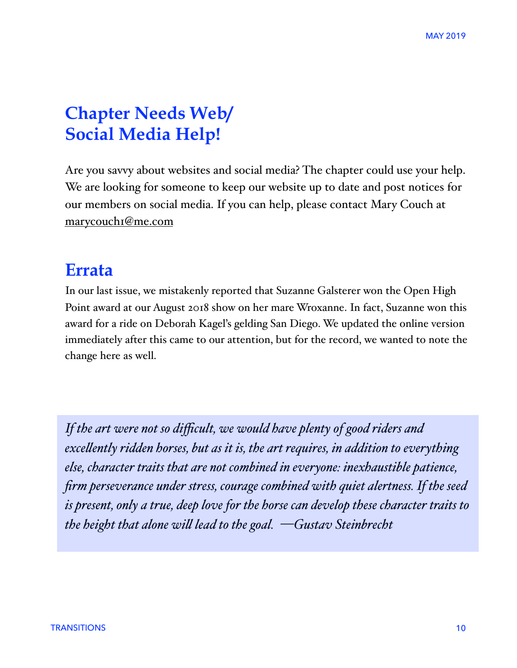# **Chapter Needs Web/ Social Media Help!**

Are you savvy about websites and social media? The chapter could use your help. We are looking for someone to keep our website up to date and post notices for our members on social media. If you can help, please contact Mary Couch at [marycouch1@me.com](mailto:marycouch1@me.co)

## **Errata**

In our last issue, we mistakenly reported that Suzanne Galsterer won the Open High Point award at our August 2018 show on her mare Wroxanne. In fact, Suzanne won this award for a ride on Deborah Kagel's gelding San Diego. We updated the online version immediately after this came to our attention, but for the record, we wanted to note the change here as well.

*If the art were not so difficult, we would have plenty of good riders and excelently ridden horses, but as it is, the art requires, in addition to everything else, character traits that are not combined in everyone: inexhaustible patience, firm perseverance under stress, courage combined with quiet alertness. If the seed is present, only a true, deep love for the horse can develop these character traits to the height that alone wil lead to the goal. —Gustav Steinbrecht*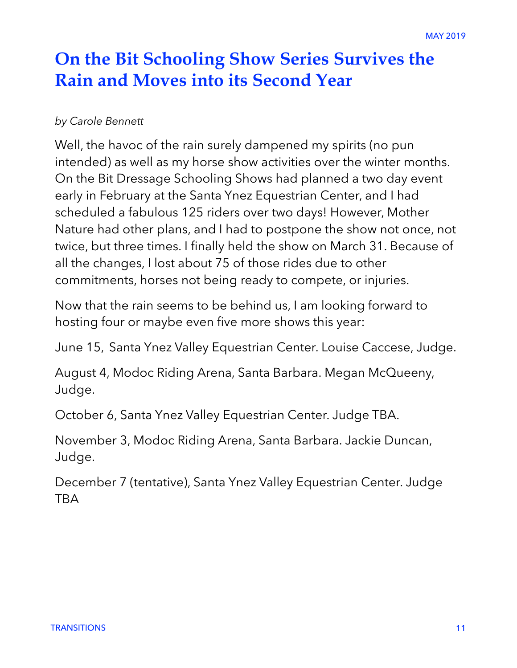# **On the Bit Schooling Show Series Survives the Rain and Moves into its Second Year**

#### *by Carole Bennett*

Well, the havoc of the rain surely dampened my spirits (no pun intended) as well as my horse show activities over the winter months. On the Bit Dressage Schooling Shows had planned a two day event early in February at the Santa Ynez Equestrian Center, and I had scheduled a fabulous 125 riders over two days! However, Mother Nature had other plans, and I had to postpone the show not once, not twice, but three times. I finally held the show on March 31. Because of all the changes, I lost about 75 of those rides due to other commitments, horses not being ready to compete, or injuries.

Now that the rain seems to be behind us, I am looking forward to hosting four or maybe even five more shows this year:

June 15, Santa Ynez Valley Equestrian Center. Louise Caccese, Judge.

August 4, Modoc Riding Arena, Santa Barbara. Megan McQueeny, Judge.

October 6, Santa Ynez Valley Equestrian Center. Judge TBA.

November 3, Modoc Riding Arena, Santa Barbara. Jackie Duncan, Judge.

December 7 (tentative), Santa Ynez Valley Equestrian Center. Judge TBA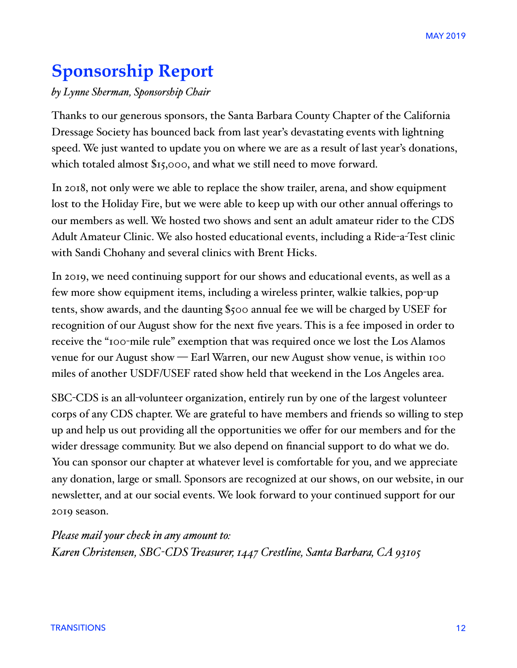# **Sponsorship Report**

#### *by Lynne Sherman, Sponsorship Chair*

Thanks to our generous sponsors, the Santa Barbara County Chapter of the California Dressage Society has bounced back from last year's devastating events with lightning speed. We just wanted to update you on where we are as a result of last year's donations, which totaled almost \$15,000, and what we still need to move forward.

In 2018, not only were we able to replace the show trailer, arena, and show equipment lost to the Holiday Fire, but we were able to keep up with our other annual offerings to our members as well. We hosted two shows and sent an adult amateur rider to the CDS Adult Amateur Clinic. We also hosted educational events, including a Ride-a-Test clinic with Sandi Chohany and several clinics with Brent Hicks.

In 2019, we need continuing support for our shows and educational events, as well as a few more show equipment items, including a wireless printer, walkie talkies, pop-up tents, show awards, and the daunting \$500 annual fee we will be charged by USEF for recognition of our August show for the next five years. This is a fee imposed in order to receive the "100-mile rule" exemption that was required once we lost the Los Alamos venue for our August show — Earl Warren, our new August show venue, is within 100 miles of another USDF/USEF rated show held that weekend in the Los Angeles area.

SBC-CDS is an all-volunteer organization, entirely run by one of the largest volunteer corps of any CDS chapter. We are grateful to have members and friends so willing to step up and help us out providing all the opportunities we offer for our members and for the wider dressage community. But we also depend on financial support to do what we do. You can sponsor our chapter at whatever level is comfortable for you, and we appreciate any donation, large or small. Sponsors are recognized at our shows, on our website, in our newsletter, and at our social events. We look forward to your continued support for our 2019 season.

*Please mail your check in any amount to: Karen Christensen, SBC-CDS Treasurer, 1447 Crestline, Santa Barbara, CA 93105*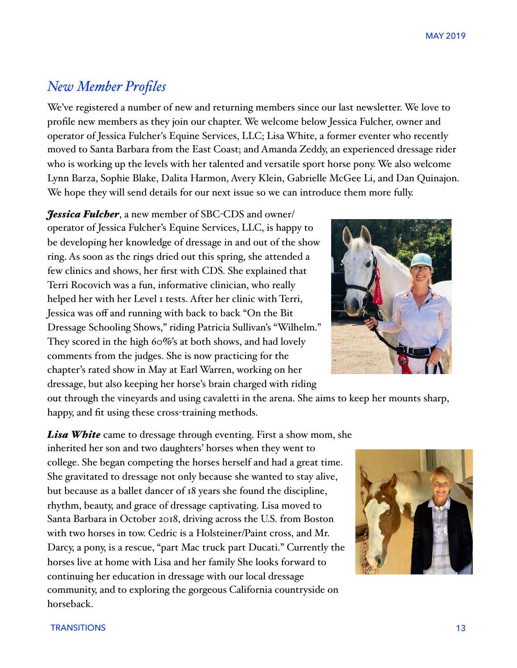## *New Member Profiles*

We've registered a number of new and returning members since our last newsletter. We love to profile new members as they join our chapter. We welcome below Jessica Fulcher, owner and operator of Jessica Fulcher's Equine Services, LLC; Lisa White, a former eventer who recently moved to Santa Barbara from the East Coast; and Amanda Zeddy, an experienced dressage rider who is working up the levels with her talented and versatile sport horse pony. We also welcome Lynn Barza, Sophie Blake, Dalita Harmon, Avery Klein, Gabrielle McGee Li, and Dan Quinajon. We hope they will send details for our next issue so we can introduce them more fully.

*Jessica Fulcher*, a new member of SBC-CDS and owner/ operator of Jessica Fulcher's Equine Services, LLC, is happy to be developing her knowledge of dressage in and out of the show ring. As soon as the rings dried out this spring, she attended a few clinics and shows, her first with CDS. She explained that Terri Rocovich was a fun, informative clinician, who really helped her with her Level 1 tests. After her clinic with Terri, Jessica was off and running with back to back "On the Bit Dressage Schooling Shows," riding Patricia Sullivan's "Wilhelm." They scored in the high 60%'s at both shows, and had lovely comments from the judges. She is now practicing for the chapter's rated show in May at Earl Warren, working on her dressage, but also keeping her horse's brain charged with riding

out through the vineyards and using cavaletti in the arena. She aims to keep her mounts sharp, happy, and fit using these cross-training methods.

**Lisa White** came to dressage through eventing. First a show mom, she inherited her son and two daughters' horses when they went to college. She began competing the horses herself and had a great time. She gravitated to dressage not only because she wanted to stay alive, but because as a ballet dancer of 18 years she found the discipline, rhythm, beauty, and grace of dressage captivating. Lisa moved to Santa Barbara in October 2018, driving across the U.S. from Boston with two horses in tow. Cedric is a Holsteiner/Paint cross, and Mr. Darcy, a pony, is a rescue, "part Mac truck part Ducati." Currently the horses live at home with Lisa and her family She looks forward to continuing her education in dressage with our local dressage community, and to exploring the gorgeous California countryside on horseback.

#### TRANSITIONS 13



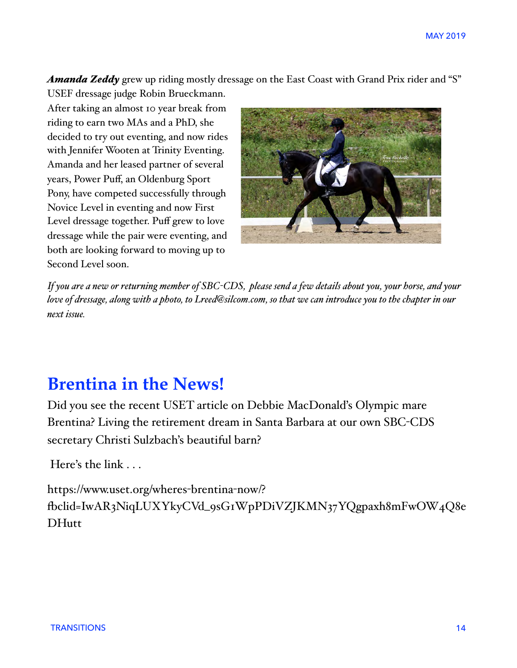*Amanda Zeddy* grew up riding mostly dressage on the East Coast with Grand Prix rider and "S" USEF dressage judge Robin Brueckmann.

After taking an almost 10 year break from riding to earn two MAs and a PhD, she decided to try out eventing, and now rides with Jennifer Wooten at Trinity Eventing. Amanda and her leased partner of several years, Power Puff, an Oldenburg Sport Pony, have competed successfully through Novice Level in eventing and now First Level dressage together. Puff grew to love dressage while the pair were eventing, and both are looking forward to moving up to Second Level soon.



*If you are a new or returning member of SBC-CDS, please send a few details about you, your horse, and your love of dressage, along with a photo, to Lreed@silcom.com, so that we can introduce you to the chapter in our next issue.*

## **Brentina in the News!**

Did you see the recent USET article on Debbie MacDonald's Olympic mare Brentina? Living the retirement dream in Santa Barbara at our own SBC-CDS secretary Christi Sulzbach's beautiful barn?

Here's the link . . .

https://www.uset.org/wheres-brentina-now/? fclid=IwAR3NiqLUXYkyCVd\_9sG1WpPDiVZJKMN37YQgpaxh8mFwOW4Q8e **DHutt**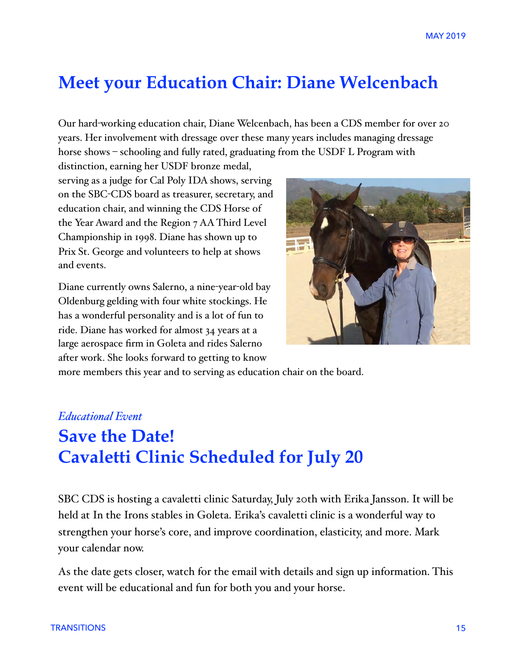## **Meet your Education Chair: Diane Welcenbach**

Our hard-working education chair, Diane Welcenbach, has been a CDS member for over 20 years. Her involvement with dressage over these many years includes managing dressage horse shows – schooling and fully rated, graduating from the USDF L Program with

distinction, earning her USDF bronze medal, serving as a judge for Cal Poly IDA shows, serving on the SBC-CDS board as treasurer, secretary, and education chair, and winning the CDS Horse of the Year Award and the Region 7 AA Third Level Championship in 1998. Diane has shown up to Prix St. George and volunteers to help at shows and events.

Diane currently owns Salerno, a nine-year-old bay Oldenburg gelding with four white stockings. He has a wonderful personality and is a lot of fun to ride. Diane has worked for almost 34 years at a large aerospace firm in Goleta and rides Salerno after work. She looks forward to getting to know



more members this year and to serving as education chair on the board.

#### *Educational Event*

# **Save the Date! Cavaletti Clinic Scheduled for July 20**

SBC CDS is hosting a cavaletti clinic Saturday, July 20th with Erika Jansson. It will be held at In the Irons stables in Goleta. Erika's cavaletti clinic is a wonderful way to strengthen your horse's core, and improve coordination, elasticity, and more. Mark your calendar now.

As the date gets closer, watch for the email with details and sign up information. This event will be educational and fun for both you and your horse.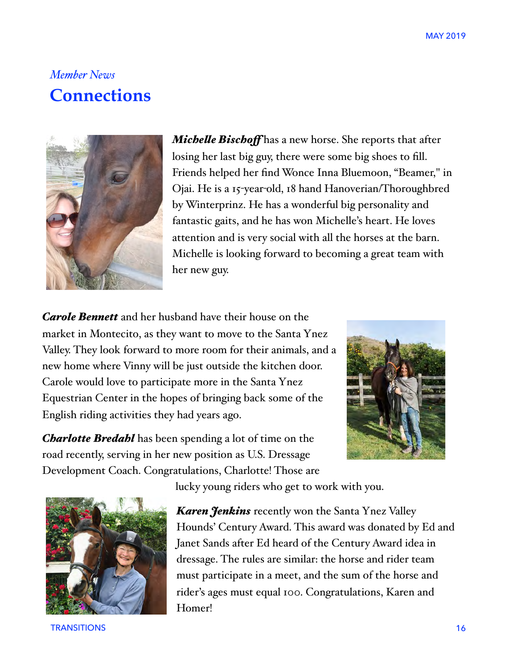## *Member News* **Connections**



*Michele Bischof* has a new horse. She reports that after losing her last big guy, there were some big shoes to fill. Friends helped her find Wonce Inna Bluemoon, "Beamer," in Ojai. He is a 15-year-old, 18 hand Hanoverian/Thoroughbred by Winterprinz. He has a wonderful big personality and fantastic gaits, and he has won Michelle's heart. He loves attention and is very social with all the horses at the barn. Michelle is looking forward to becoming a great team with her new guy.

*Carole Bennett* and her husband have their house on the market in Montecito, as they want to move to the Santa Ynez Valley. They look forward to more room for their animals, and a new home where Vinny will be just outside the kitchen door. Carole would love to participate more in the Santa Ynez Equestrian Center in the hopes of bringing back some of the English riding activities they had years ago.

*Charlotte Bredahl* has been spending a lot of time on the road recently, serving in her new position as U.S. Dressage Development Coach. Congratulations, Charlotte! Those are





lucky young riders who get to work with you.

*Karen Jenkins* recently won the Santa Ynez Valley Hounds' Century Award. This award was donated by Ed and Janet Sands after Ed heard of the Century Award idea in dressage. The rules are similar: the horse and rider team must participate in a meet, and the sum of the horse and rider's ages must equal 100. Congratulations, Karen and Homer!

TRANSITIONS 16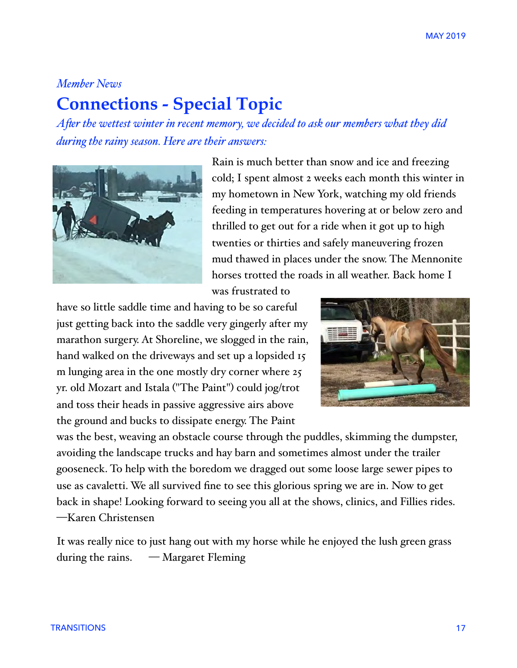# *Member News* **Connections - Special Topic**

*Afer the wettest winter in recent memory, we decided to ask our members what they did during the rainy season. Here are their answers:*



Rain is much better than snow and ice and freezing cold; I spent almost 2 weeks each month this winter in my hometown in New York, watching my old friends feeding in temperatures hovering at or below zero and thrilled to get out for a ride when it got up to high twenties or thirties and safely maneuvering frozen mud thawed in places under the snow. The Mennonite horses trotted the roads in all weather. Back home I

was frustrated to

have so little saddle time and having to be so careful just getting back into the saddle very gingerly after my marathon surgery. At Shoreline, we slogged in the rain, hand walked on the driveways and set up a lopsided 15 m lunging area in the one mostly dry corner where 25 yr. old Mozart and Istala ("The Paint") could jog/trot and toss their heads in passive aggressive airs above the ground and bucks to dissipate energy. The Paint



was the best, weaving an obstacle course through the puddles, skimming the dumpster, avoiding the landscape trucks and hay barn and sometimes almost under the trailer gooseneck. To help with the boredom we dragged out some loose large sewer pipes to use as cavaletti. We all survived fine to see this glorious spring we are in. Now to get back in shape! Looking forward to seeing you all at the shows, clinics, and Fillies rides. —Karen Christensen

It was really nice to just hang out with my horse while he enjoyed the lush green grass during the rains.  $-\mathbf{M}$ argaret Fleming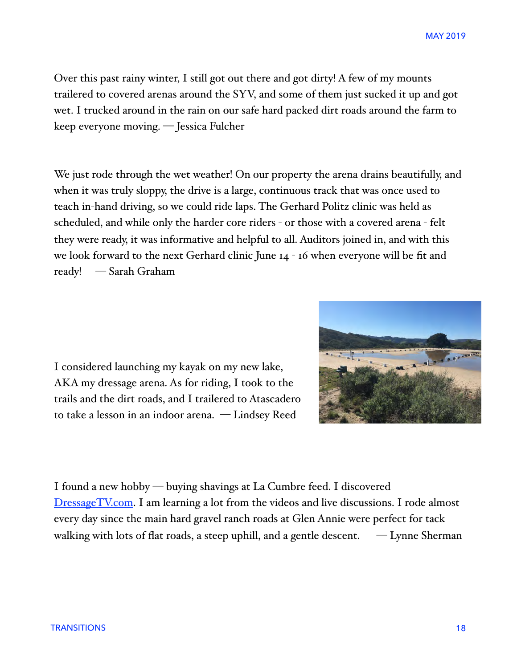Over this past rainy winter, I still got out there and got dirty! A few of my mounts trailered to covered arenas around the SYV, and some of them just sucked it up and got wet. I trucked around in the rain on our safe hard packed dirt roads around the farm to keep everyone moving. — Jessica Fulcher

We just rode through the wet weather! On our property the arena drains beautifully, and when it was truly sloppy, the drive is a large, continuous track that was once used to teach in-hand driving, so we could ride laps. The Gerhard Politz clinic was held as scheduled, and while only the harder core riders - or those with a covered arena - felt they were ready, it was informative and helpful to all. Auditors joined in, and with this we look forward to the next Gerhard clinic June 14 - 16 when everyone will be fit and ready! — Sarah Graham

I considered launching my kayak on my new lake, AKA my dressage arena. As for riding, I took to the trails and the dirt roads, and I trailered to Atascadero to take a lesson in an indoor arena. — Lindsey Reed



I found a new hobby — buying shavings at La Cumbre feed. I discovered [DressageTV.com.](http://dressagetv.com/) I am learning a lot from the videos and live discussions. I rode almost every day since the main hard gravel ranch roads at Glen Annie were perfect for tack walking with lots of flat roads, a steep uphill, and a gentle descent.  $\mathcal{L}_{\text{Y}}$   $\mathcal{L}_{\text{Y}}$  = Lynne Sherman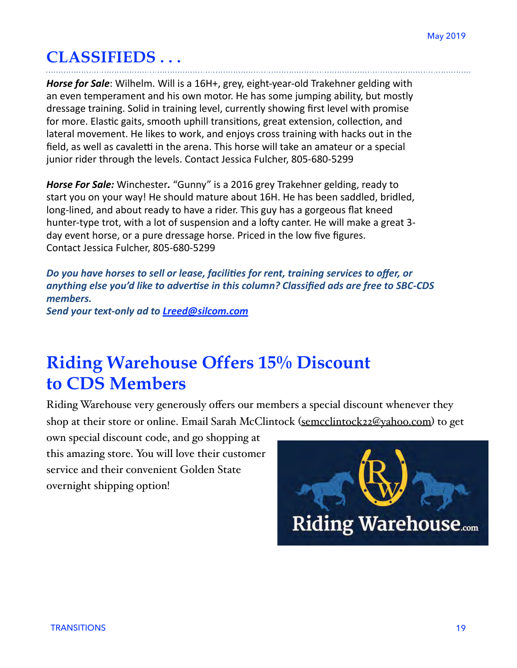# **CLASSIFIEDS . . .**

Horse for Sale: Wilhelm. Will is a 16H+, grey, eight-year-old Trakehner gelding with an even temperament and his own motor. He has some jumping ability, but mostly dressage training. Solid in training level, currently showing first level with promise for more. Elastic gaits, smooth uphill transitions, great extension, collection, and lateral movement. He likes to work, and enjoys cross training with hacks out in the field, as well as cavaletti in the arena. This horse will take an amateur or a special junior rider through the levels. Contact Jessica Fulcher, 805-680-5299

*Horse For Sale:* Winchester. "Gunny" is a 2016 grey Trakehner gelding, ready to start you on your way! He should mature about 16H. He has been saddled, bridled, long-lined, and about ready to have a rider. This guy has a gorgeous flat kneed hunter-type trot, with a lot of suspension and a lofty canter. He will make a great 3day event horse, or a pure dressage horse. Priced in the low five figures. Contact Jessica Fulcher, 805-680-5299

Do you have horses to sell or lease, facilities for rent, training services to offer, or anything else you'd like to advertise in this column? Classified ads are free to SBC-CDS *members.* 

*Send your text-only ad to [Lreed@silcom.com](mailto:Lreed@silcom.com)*

# **Riding Warehouse Offers 15% Discount to CDS Members**

Riding Warehouse very generously offers our members a special discount whenever they shop at their store or online. Email Sarah McClintock ([semcclintock22@yahoo.com](mailto:semcclintock22@yahoo.com)) to get

own special discount code, and go shopping at this amazing store. You will love their customer service and their convenient Golden State overnight shipping option!

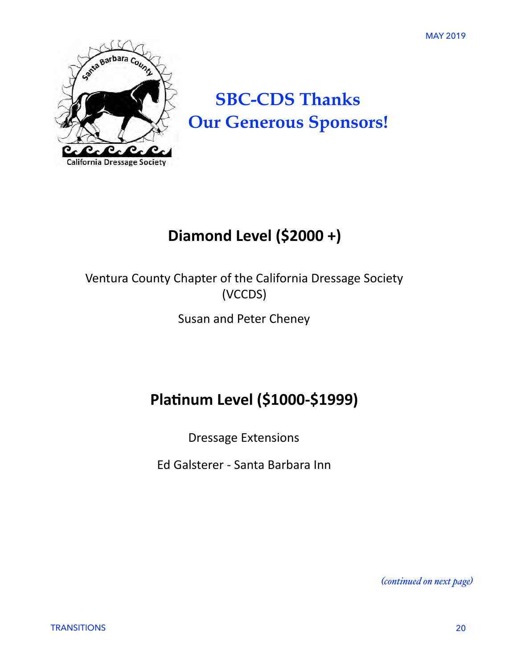MAY 2019



# **SBC-CDS Thanks Our Generous Sponsors!**

## **Diamond Level (\$2000 +)**

## Ventura County Chapter of the California Dressage Society (VCCDS)

Susan and Peter Cheney

# **Platinum Level (\$1000-\$1999)**

Dressage Extensions

Ed Galsterer - Santa Barbara Inn

*(continued on next page)*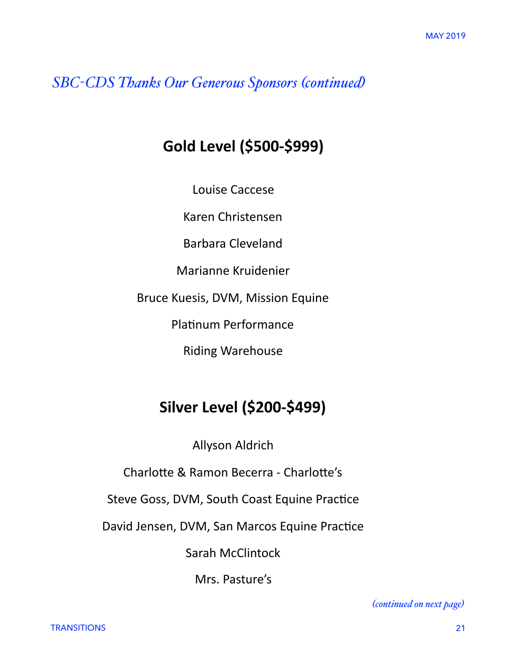*SBC-CDS Thanks Our Generous Sponsors (continued)*

## **Gold Level (\$500-\$999)**

Louise Caccese 

Karen Christensen 

Barbara Cleveland 

Marianne Kruidenier 

Bruce Kuesis, DVM, Mission Equine

Platinum Performance

Riding Warehouse 

## **Silver Level (\$200-\$499)**

Allyson Aldrich 

Charlotte & Ramon Becerra - Charlotte's

Steve Goss, DVM, South Coast Equine Practice

David Jensen, DVM, San Marcos Equine Practice

Sarah McClintock 

Mrs. Pasture's

*(continued on next page)*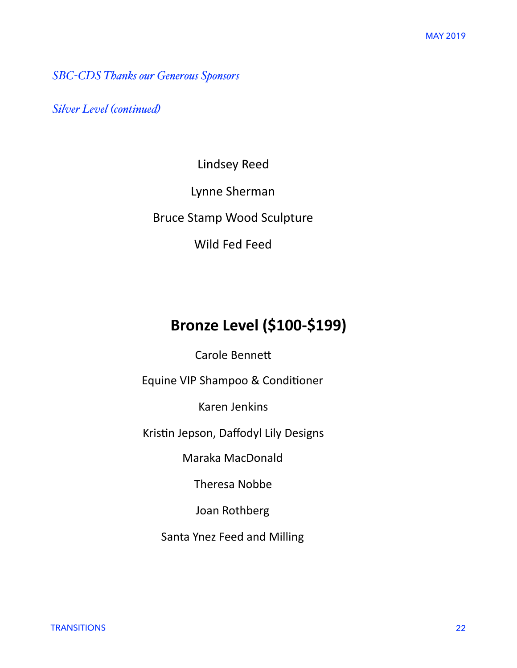*SBC-CDS Thanks our Generous Sponsors* 

*Silver Level (continued)*

Lindsey Reed 

Lynne Sherman 

Bruce Stamp Wood Sculpture 

Wild Fed Feed

## **Bronze Level (\$100-\$199)**

Carole Bennett

Equine VIP Shampoo & Conditioner

Karen Jenkins 

Kristin Jepson, Daffodyl Lily Designs

Maraka MacDonald 

Theresa Nobbe 

Joan Rothberg

Santa Ynez Feed and Milling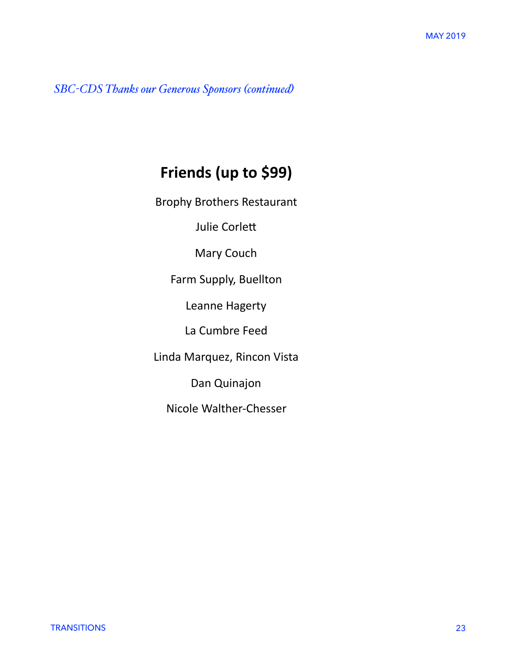*SBC-CDS Thanks our Generous Sponsors (continued)*

## **Friends (up to \$99)**

Brophy Brothers Restaurant 

Julie Corlett

**Mary Couch** 

Farm Supply, Buellton

Leanne Hagerty

La Cumbre Feed

Linda Marquez, Rincon Vista 

Dan Quinajon 

Nicole Walther-Chesser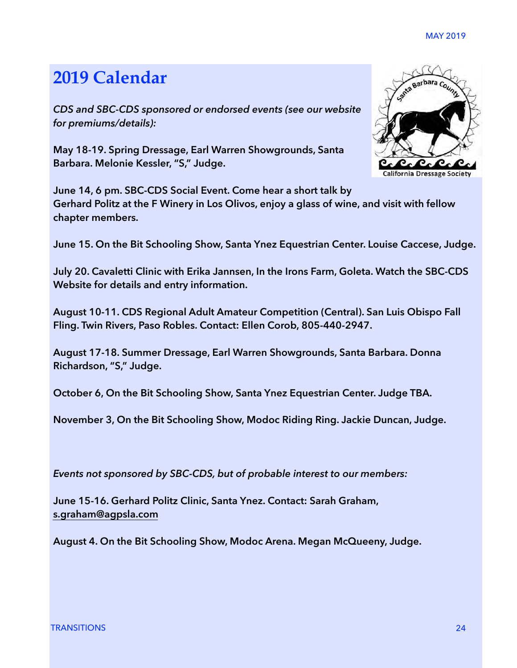# **2019 Calendar**

*CDS and SBC-CDS sponsored or endorsed events (see our website for premiums/details):* 

**May 18-19. Spring Dressage, Earl Warren Showgrounds, Santa Barbara. Melonie Kessler, "S," Judge.** 

**June 14, 6 pm. SBC-CDS Social Event. Come hear a short talk by Gerhard Politz at the F Winery in Los Olivos, enjoy a glass of wine, and visit with fellow chapter members.** 

**June 15. On the Bit Schooling Show, Santa Ynez Equestrian Center. Louise Caccese, Judge.** 

**July 20. Cavaletti Clinic with Erika Jannsen, In the Irons Farm, Goleta. Watch the SBC-CDS Website for details and entry information.** 

**August 10-11. CDS Regional Adult Amateur Competition (Central). San Luis Obispo Fall Fling. Twin Rivers, Paso Robles. Contact: Ellen Corob, 805-440-2947.** 

**August 17-18. Summer Dressage, Earl Warren Showgrounds, Santa Barbara. Donna Richardson, "S," Judge.** 

**October 6, On the Bit Schooling Show, Santa Ynez Equestrian Center. Judge TBA.** 

**November 3, On the Bit Schooling Show, Modoc Riding Ring. Jackie Duncan, Judge.** 

*Events not sponsored by SBC-CDS, but of probable interest to our members:* 

**June 15-16. Gerhard Politz Clinic, Santa Ynez. Contact: Sarah Graham, [s.graham@agpsla.com](mailto:s.graham@agpsla.com)**

**August 4. On the Bit Schooling Show, Modoc Arena. Megan McQueeny, Judge.**